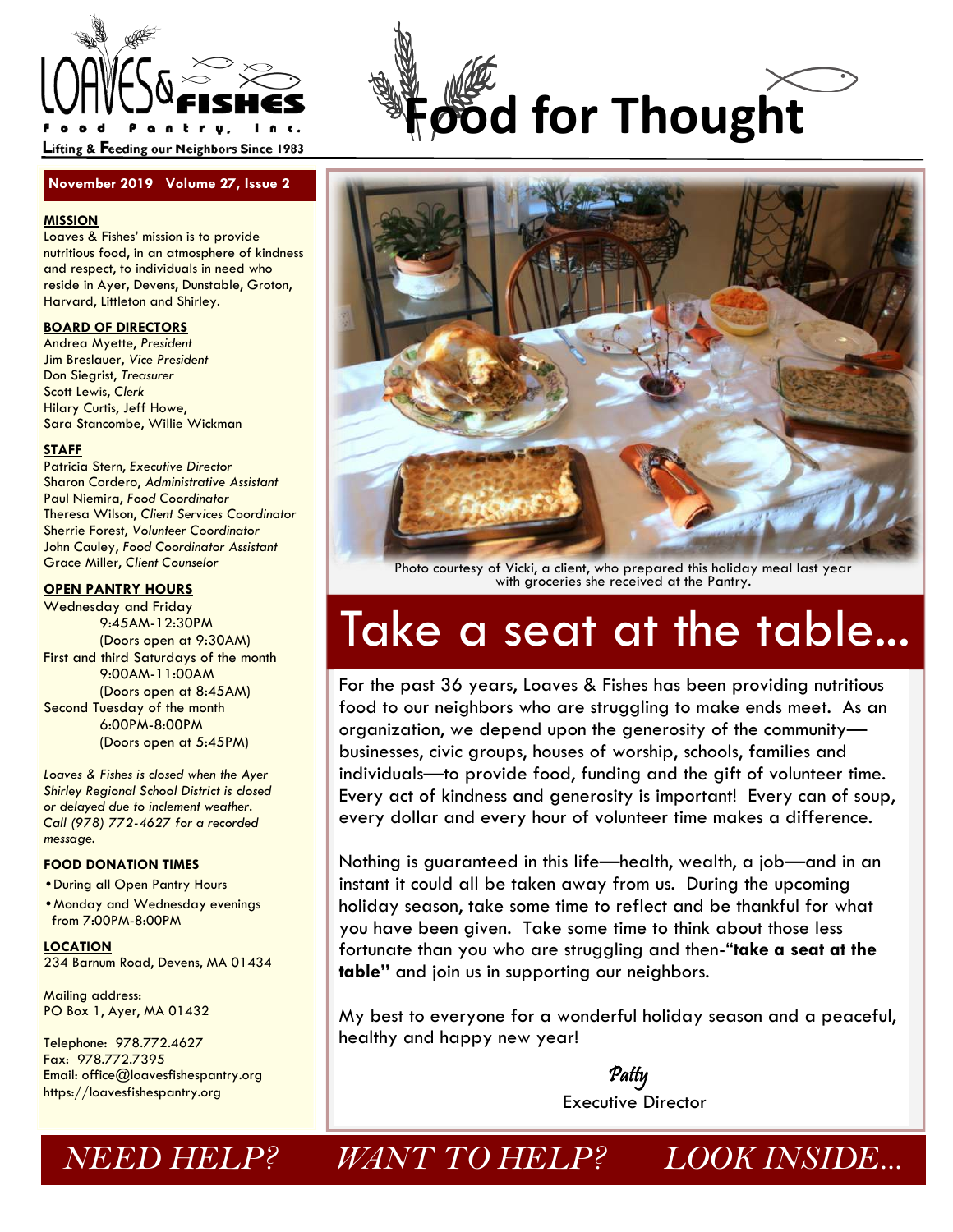

#### **November 2019 Volume 27, Issue 2**

#### **MISSION**

Loaves & Fishes' mission is to provide nutritious food, in an atmosphere of kindness and respect, to individuals in need who reside in Ayer, Devens, Dunstable, Groton, Harvard, Littleton and Shirley.

#### **BOARD OF DIRECTORS**

Andrea Myette, *President*  Jim Breslauer, *Vice President* Don Siegrist, *Treasurer* Scott Lewis, *Clerk*  Hilary Curtis, Jeff Howe, Sara Stancombe, Willie Wickman

#### **STAFF**

Patricia Stern, *Executive Director*  Sharon Cordero, *Administrative Assistant*  Paul Niemira, *Food Coordinator*  Theresa Wilson, *Client Services Coordinator*  Sherrie Forest, *Volunteer Coordinator* John Cauley, *Food Coordinator Assistant*  Grace Miller, *Client Counselor* 

#### **OPEN PANTRY HOURS**

Wednesday and Friday 9:45AM-12:30PM (Doors open at 9:30AM) First and third Saturdays of the month 9:00AM-11:00AM (Doors open at 8:45AM) Second Tuesday of the month 6:00PM-8:00PM (Doors open at 5:45PM)

*Loaves & Fishes is closed when the Ayer Shirley Regional School District is closed or delayed due to inclement weather. Call (978) 772-4627 for a recorded message.* 

#### **FOOD DONATION TIMES**

•During all Open Pantry Hours

•Monday and Wednesday evenings from 7:00PM-8:00PM

**LOCATION**  234 Barnum Road, Devens, MA 01434

Mailing address: PO Box 1, Ayer, MA 01432

Telephone: 978.772.4627 Fax: 978.772.7395 Email: office@loavesfishespantry.org https://loavesfishespantry.org





Photo courtesy of Vicki, a client, who prepared this holiday meal last year with groceries she received at the Pantry.

# Take a seat at the table...

For the past 36 years, Loaves & Fishes has been providing nutritious food to our neighbors who are struggling to make ends meet. As an organization, we depend upon the generosity of the community businesses, civic groups, houses of worship, schools, families and individuals—to provide food, funding and the gift of volunteer time. Every act of kindness and generosity is important! Every can of soup, every dollar and every hour of volunteer time makes a difference.

Nothing is guaranteed in this life—health, wealth, a job—and in an instant it could all be taken away from us. During the upcoming holiday season, take some time to reflect and be thankful for what you have been given. Take some time to think about those less fortunate than you who are struggling and then-"**take a seat at the table"** and join us in supporting our neighbors.

My best to everyone for a wonderful holiday season and a peaceful, healthy and happy new year!

 Patty Executive Director

# *NEED HELP? WANT TO HELP? LOOK INSIDE...*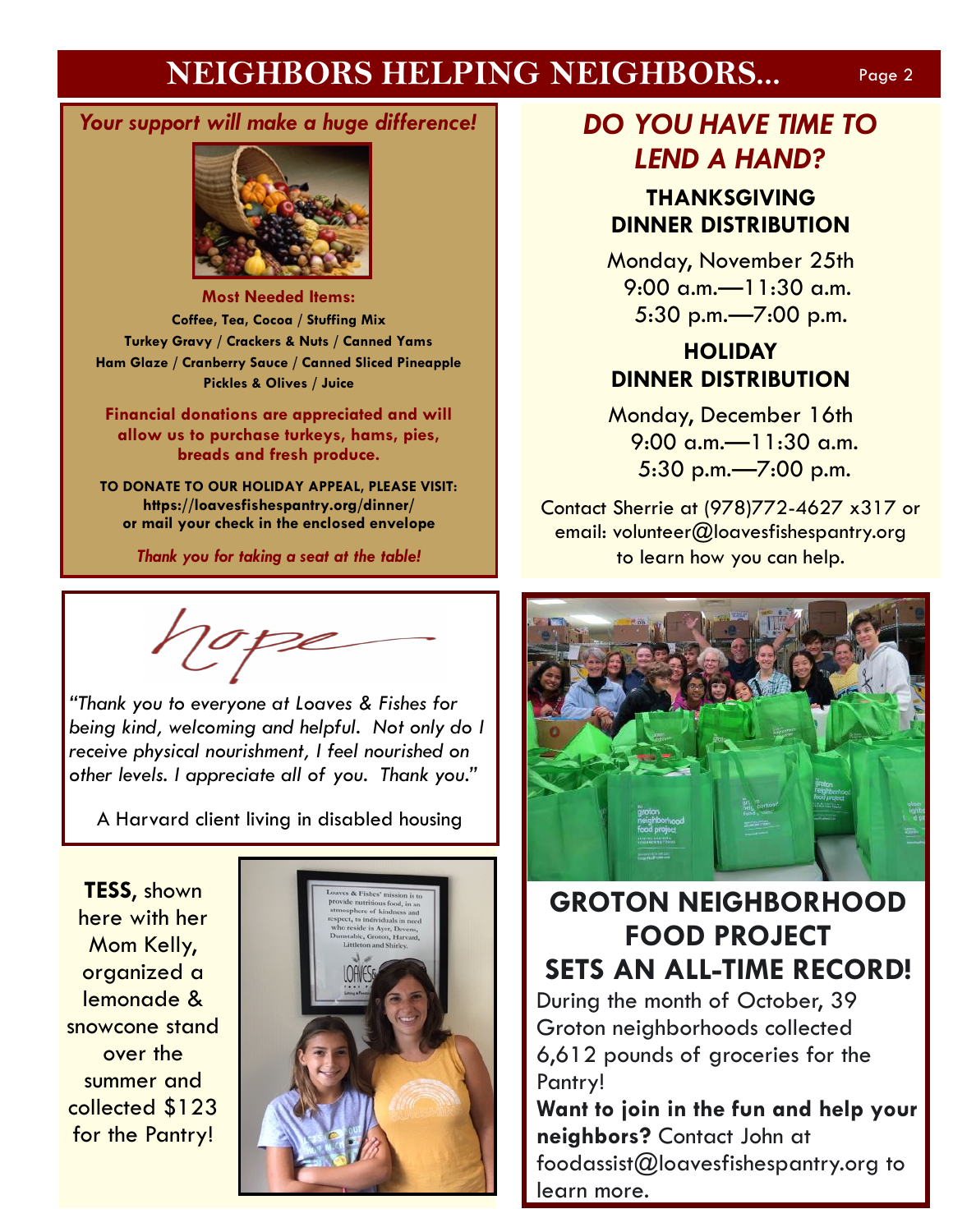# **NEIGHBORS HELPING NEIGHBORS...** Page 2

### *Your support will make a huge difference!*



**Most Needed Items: Coffee, Tea, Cocoa / Stuffing Mix Turkey Gravy / Crackers & Nuts / Canned Yams Ham Glaze / Cranberry Sauce / Canned Sliced Pineapple Pickles & Olives / Juice** 

**Financial donations are appreciated and will allow us to purchase turkeys, hams, pies, breads and fresh produce.** 

**TO DONATE TO OUR HOLIDAY APPEAL, PLEASE VISIT: https://loavesfishespantry.org/dinner/ or mail your check in the enclosed envelope**

*Thank you for taking a seat at the table!*

*"Thank you to everyone at Loaves & Fishes for being kind, welcoming and helpful. Not only do I receive physical nourishment, I feel nourished on other levels. I appreciate all of you. Thank you."*

A Harvard client living in disabled housing

**TESS**, shown here with her Mom Kelly, organized a lemonade & snowcone stand over the summer and collected \$123 for the Pantry!



# *DO YOU HAVE TIME TO LEND A HAND?*

### **THANKSGIVING DINNER DISTRIBUTION**

Monday, November 25th 9:00 a.m.—11:30 a.m. 5:30 p.m.—7:00 p.m.

# **HOLIDAY DINNER DISTRIBUTION**

Monday, December 16th 9:00 a.m.—11:30 a.m. 5:30 p.m.—7:00 p.m.

Contact Sherrie at (978)772-4627 x317 or email: volunteer@loavesfishespantry.org to learn how you can help.



# **GROTON NEIGHBORHOOD FOOD PROJECT SETS AN ALL-TIME RECORD!**

During the month of October, 39 Groton neighborhoods collected 6,612 pounds of groceries for the Pantry!

**Want to join in the fun and help your neighbors?** Contact John at foodassist@loavesfishespantry.org to learn more.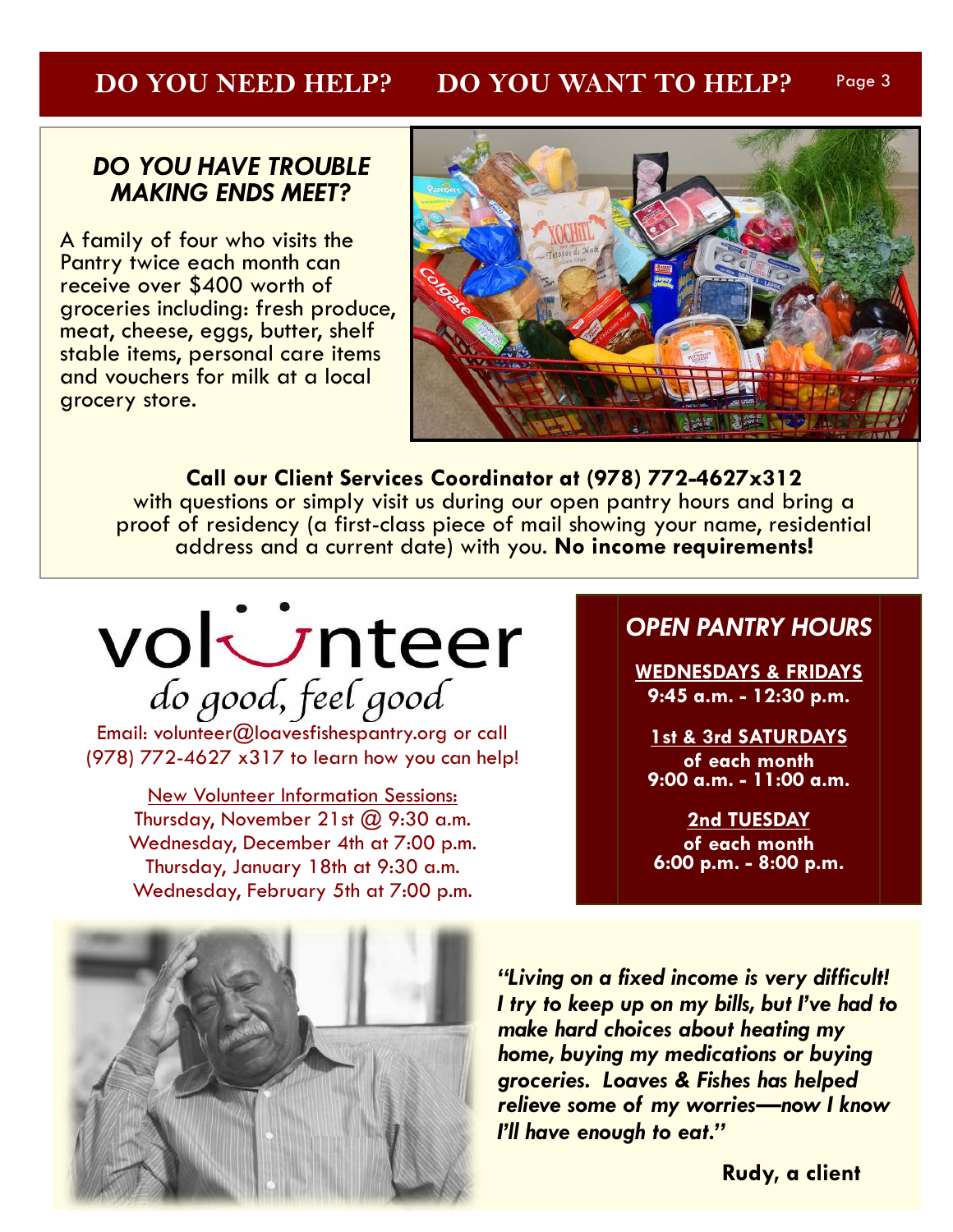#### **DO YOU NEED HELP? DO YOU WANT TO HELP?** Page 3

### *DO YOU HAVE TROUBLE MAKING ENDS MEET?*

A family of four who visits the Pantry twice each month can receive over \$400 worth of groceries including: fresh produce, meat, cheese, eggs, butter, shelf stable items, personal care items and vouchers for milk at a local grocery store. J



**Call our Client Services Coordinator at (978) 772-4627x312**  with questions or simply visit us during our open pantry hours and bring a proof of residency (a first-class piece of mail showing your name, residential address and a current date) with you. **No income requirements!**

# volunteer do good, feel good

Email: volunteer@loavesfishespantry.org or call (978) 772-4627 x317 to learn how you can help!

New Volunteer Information Sessions: Thursday, November 21st  $(2)$  9:30 a.m. Wednesday, December 4th at 7:00 p.m. Thursday, January 18th at 9:30 a.m. Wednesday, February 5th at 7:00 p.m.

## *OPEN PANTRY HOURS*

**WEDNESDAYS & FRIDAYS 9:45 a.m. - 12:30 p.m.** 

**1st & 3rd SATURDAYS of each month 9:00 a.m. - 11:00 a.m.** 

**2nd TUESDAY of each month 6:00 p.m. - 8:00 p.m.** 



*"Living on a fixed income is very difficult! I try to keep up on my bills, but I've had to make hard choices about heating my home, buying my medications or buying groceries. Loaves & Fishes has helped relieve some of my worries—now I know I'll have enough to eat."* 

**Rudy, a client**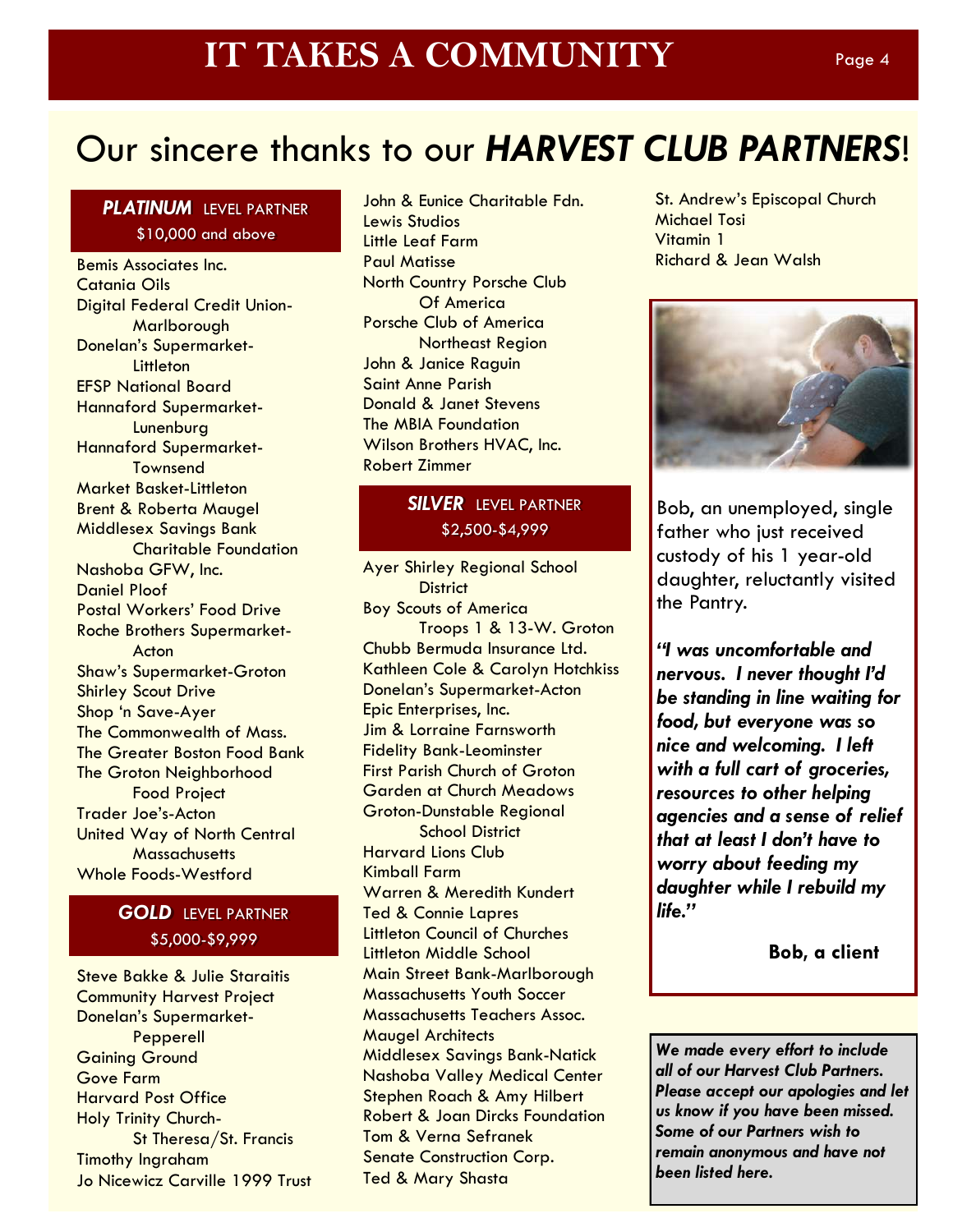# Our sincere thanks to our *HARVEST CLUB PARTNERS*!

#### *PLATINUM* LEVEL PARTNER \$10,000 and above

Bemis Associates Inc. Catania Oils Digital Federal Credit Union- Marlborough Donelan's Supermarket- **Littleton** EFSP National Board Hannaford Supermarket- **Lunenburg** Hannaford Supermarket- **Townsend** Market Basket-Littleton Brent & Roberta Maugel Middlesex Savings Bank Charitable Foundation Nashoba GFW, Inc. Daniel Ploof Postal Workers' Food Drive Roche Brothers Supermarket- Acton Shaw's Supermarket-Groton Shirley Scout Drive Shop 'n Save-Ayer The Commonwealth of Mass. The Greater Boston Food Bank The Groton Neighborhood Food Project Trader Joe's-Acton United Way of North Central **Massachusetts** Whole Foods-Westford

### *GOLD* LEVEL PARTNER \$5,000-\$9,999

Steve Bakke & Julie Staraitis Community Harvest Project Donelan's Supermarket- Pepperell Gaining Ground Gove Farm Harvard Post Office Holy Trinity Church- St Theresa/St. Francis Timothy Ingraham Jo Nicewicz Carville 1999 Trust

John & Eunice Charitable Fdn. Lewis Studios Little Leaf Farm Paul Matisse North Country Porsche Club Of America Porsche Club of America Northeast Region John & Janice Raguin Saint Anne Parish Donald & Janet Stevens The MBIA Foundation Wilson Brothers HVAC, Inc. Robert Zimmer

### *SILVER* LEVEL PARTNER \$2,500-\$4,999

Ayer Shirley Regional School **District** Boy Scouts of America Troops 1 & 13-W. Groton Chubb Bermuda Insurance Ltd. Kathleen Cole & Carolyn Hotchkiss Donelan's Supermarket-Acton Epic Enterprises, Inc. Jim & Lorraine Farnsworth Fidelity Bank-Leominster First Parish Church of Groton Garden at Church Meadows Groton-Dunstable Regional School District Harvard Lions Club Kimball Farm Warren & Meredith Kundert Ted & Connie Lapres Littleton Council of Churches Littleton Middle School Main Street Bank-Marlborough Massachusetts Youth Soccer Massachusetts Teachers Assoc. Maugel Architects Middlesex Savings Bank-Natick Nashoba Valley Medical Center Stephen Roach & Amy Hilbert Robert & Joan Dircks Foundation Tom & Verna Sefranek Senate Construction Corp. Ted & Mary Shasta

St. Andrew's Episcopal Church Michael Tosi Vitamin 1 Richard & Jean Walsh



Bob, an unemployed, single father who just received custody of his 1 year-old daughter, reluctantly visited the Pantry.

*"I was uncomfortable and nervous. I never thought I'd be standing in line waiting for food, but everyone was so nice and welcoming. I left with a full cart of groceries, resources to other helping agencies and a sense of relief that at least I don't have to worry about feeding my daughter while I rebuild my life."*

**Bob, a client**

*We made every effort to include all of our Harvest Club Partners. Please accept our apologies and let us know if you have been missed. Some of our Partners wish to remain anonymous and have not been listed here.*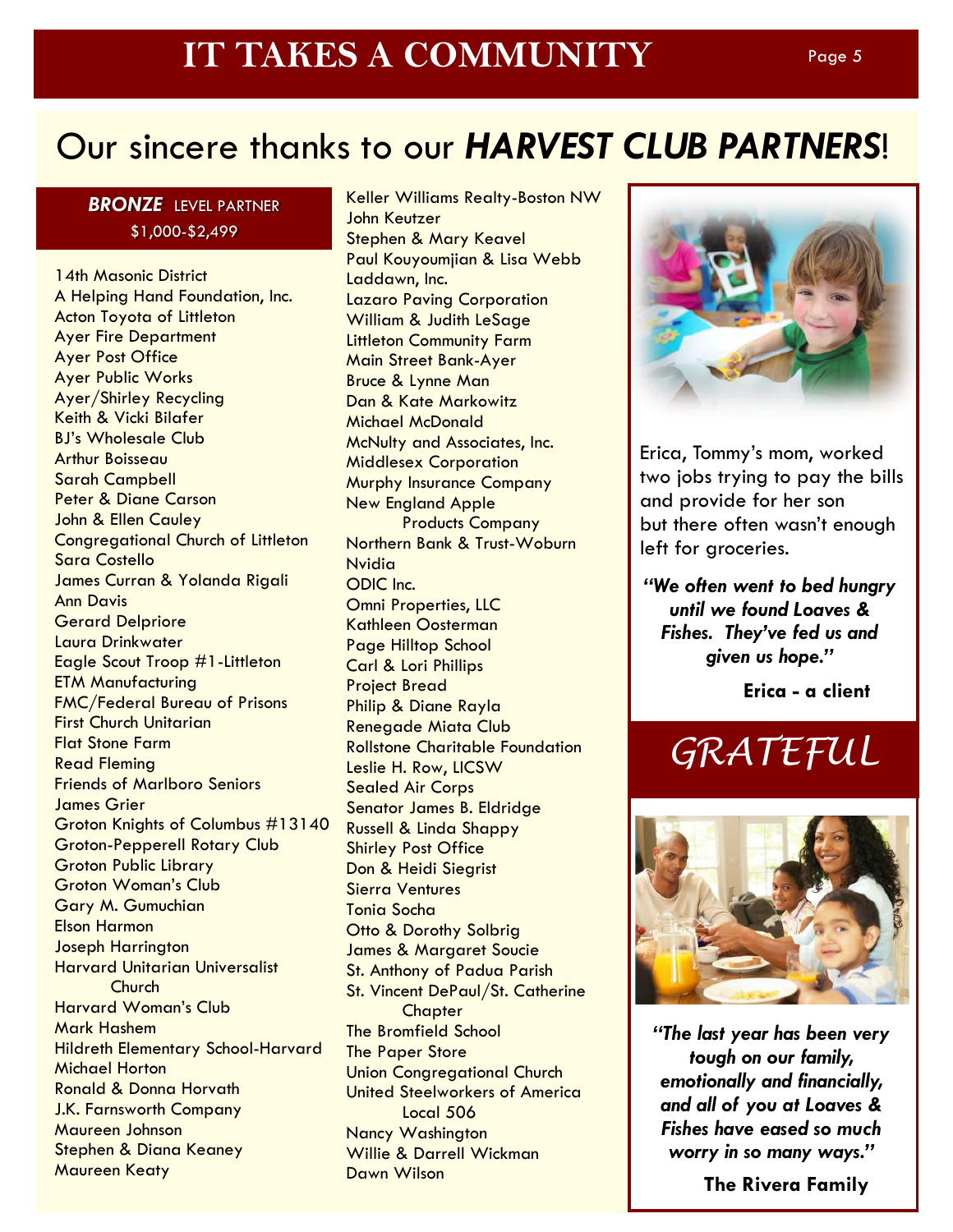# Our sincere thanks to our *HARVEST CLUB PARTNERS*!

### *BRONZE* LEVEL PARTNER \$1,000-\$2,499

14th Masonic District A Helping Hand Foundation, Inc. Acton Toyota of Littleton Ayer Fire Department Ayer Post Office Ayer Public Works Ayer/Shirley Recycling Keith & Vicki Bilafer BJ's Wholesale Club Arthur Boisseau Sarah Campbell Peter & Diane Carson John & Ellen Cauley Congregational Church of Littleton Sara Costello James Curran & Yolanda Rigali Ann Davis Gerard Delpriore Laura Drinkwater Eagle Scout Troop #1-Littleton ETM Manufacturing FMC/Federal Bureau of Prisons First Church Unitarian Flat Stone Farm Read Fleming Friends of Marlboro Seniors James Grier Groton Knights of Columbus #13140 Groton-Pepperell Rotary Club Groton Public Library Groton Woman's Club Gary M. Gumuchian Elson Harmon Joseph Harrington Harvard Unitarian Universalist **Church** Harvard Woman's Club Mark Hashem Hildreth Elementary School-Harvard Michael Horton Ronald & Donna Horvath J.K. Farnsworth Company Maureen Johnson Stephen & Diana Keaney Maureen Keaty

Keller Williams Realty-Boston NW John Keutzer Stephen & Mary Keavel Paul Kouyoumjian & Lisa Webb Laddawn, Inc. Lazaro Paving Corporation William & Judith LeSage Littleton Community Farm Main Street Bank-Ayer Bruce & Lynne Man Dan & Kate Markowitz Michael McDonald McNulty and Associates, Inc. Middlesex Corporation Murphy Insurance Company New England Apple Products Company Northern Bank & Trust-Woburn Nvidia ODIC Inc. Omni Properties, LLC Kathleen Oosterman Page Hilltop School Carl & Lori Phillips Project Bread Philip & Diane Rayla Renegade Miata Club Rollstone Charitable Foundation Leslie H. Row, LICSW Sealed Air Corps Senator James B. Eldridge Russell & Linda Shappy Shirley Post Office Don & Heidi Siegrist Sierra Ventures Tonia Socha Otto & Dorothy Solbrig James & Margaret Soucie St. Anthony of Padua Parish St. Vincent DePaul/St. Catherine **Chapter** The Bromfield School The Paper Store Union Congregational Church United Steelworkers of America Local 506 Nancy Washington Willie & Darrell Wickman Dawn Wilson



Erica, Tommy's mom, worked two jobs trying to pay the bills and provide for her son but there often wasn't enough left for groceries.

*"We often went to bed hungry until we found Loaves & Fishes. They've fed us and given us hope."* 

**Erica - a client**

# GRATEFUL



*"The last year has been very tough on our family, emotionally and financially, and all of you at Loaves & Fishes have eased so much worry in so many ways."*

**The Rivera Family**